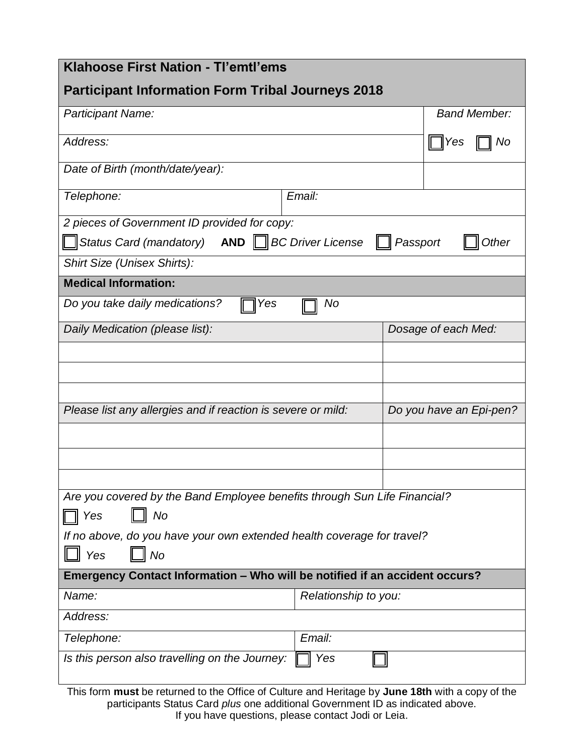| Klahoose First Nation - TI'emtl'ems                                                              |                      |                         |                     |  |
|--------------------------------------------------------------------------------------------------|----------------------|-------------------------|---------------------|--|
| <b>Participant Information Form Tribal Journeys 2018</b>                                         |                      |                         |                     |  |
| Participant Name:                                                                                |                      |                         | <b>Band Member:</b> |  |
| Address:                                                                                         |                      |                         | Yes<br>No           |  |
| Date of Birth (month/date/year):                                                                 |                      |                         |                     |  |
| Email:<br>Telephone:                                                                             |                      |                         |                     |  |
| 2 pieces of Government ID provided for copy:                                                     |                      |                         |                     |  |
| $\Box$ Status Card (mandatory) AND $\Box$ BC Driver License<br>Other<br>Passport                 |                      |                         |                     |  |
| Shirt Size (Unisex Shirts):                                                                      |                      |                         |                     |  |
| <b>Medical Information:</b>                                                                      |                      |                         |                     |  |
| Do you take daily medications?<br>No<br>Yes                                                      |                      |                         |                     |  |
| Daily Medication (please list):                                                                  |                      | Dosage of each Med:     |                     |  |
|                                                                                                  |                      |                         |                     |  |
|                                                                                                  |                      |                         |                     |  |
|                                                                                                  |                      |                         |                     |  |
| Please list any allergies and if reaction is severe or mild:                                     |                      | Do you have an Epi-pen? |                     |  |
|                                                                                                  |                      |                         |                     |  |
|                                                                                                  |                      |                         |                     |  |
|                                                                                                  |                      |                         |                     |  |
| Are you covered by the Band Employee benefits through Sun Life Financial?                        |                      |                         |                     |  |
| No<br>Yes                                                                                        |                      |                         |                     |  |
| If no above, do you have your own extended health coverage for travel?                           |                      |                         |                     |  |
| <b>No</b><br>Yes                                                                                 |                      |                         |                     |  |
| Emergency Contact Information - Who will be notified if an accident occurs?                      |                      |                         |                     |  |
| Name:                                                                                            | Relationship to you: |                         |                     |  |
| Address:                                                                                         |                      |                         |                     |  |
| Telephone:                                                                                       | Email:               |                         |                     |  |
| Is this person also travelling on the Journey:<br>Yes                                            |                      |                         |                     |  |
| This form must be returned to the Office of Culture and Heritage by June 18th with a copy of the |                      |                         |                     |  |

participants Status Card *plus* one additional Government ID as indicated above. If you have questions, please contact Jodi or Leia.